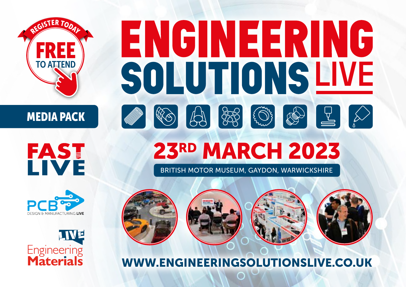## RISTER TODAY FREE TO ATTEND



**FAST** 





# ENGINEERING SOLUTIONSLIVE ABSESTET  $|\mathbb{R}\diamondsuit|$

## 23RD MARCH 2023

BRITISH MOTOR MUSEUM, GAYDON, WARWICKSHIRE



### WWW.ENGINEERINGSOLUTIONSLIVE.CO.UK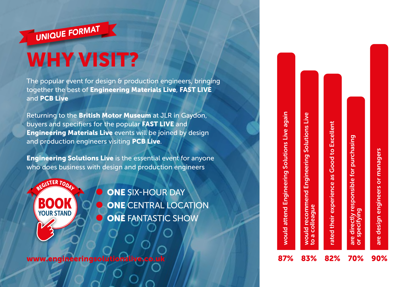

The popular event for design & production engineers, bringing together the best of Engineering Materials Live, FAST LIVE and PCB Live

Returning to the British Motor Museum at JLR in Gaydon, buyers and specifiers for the popular FAST LIVE and **Engineering Materials Live events will be joined by design** and production engineers visiting PCB Live.

**Engineering Solutions Live** is the essential event for anyone who does business with design and production engineers



**ONE SIX-HOUR DAY ONE CENTRAL LOCATION ONE FANTASTIC SHOW** 

www.engineeringsolutionslive.co.u

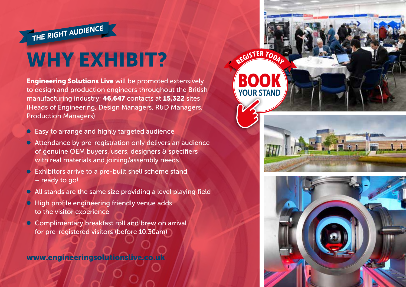## WHY EXHIBIT?

THE RIGHT AUDIENCE

**Engineering Solutions Live will be promoted extensively** to design and production engineers throughout the British manufacturing industry; 46,647 contacts at 15,322 sites (Heads of Engineering, Design Managers, R&D Managers, Production Managers)

- Easy to arrange and highly targeted audience
- Attendance by pre-registration only delivers an audience of genuine OEM buyers, users, designers & specifiers with real materials and joining/assembly needs
- Exhibitors arrive to a pre-built shell scheme stand – ready to go!
- $\bullet$  All stands are the same size providing a level playing field
- High profile engineering friendly venue adds to the visitor experience
- Complimentary breakfast roll and brew on arrival for pre-registered visitors (before 10.30am)

www.engineeringsolutionslive.co.uk